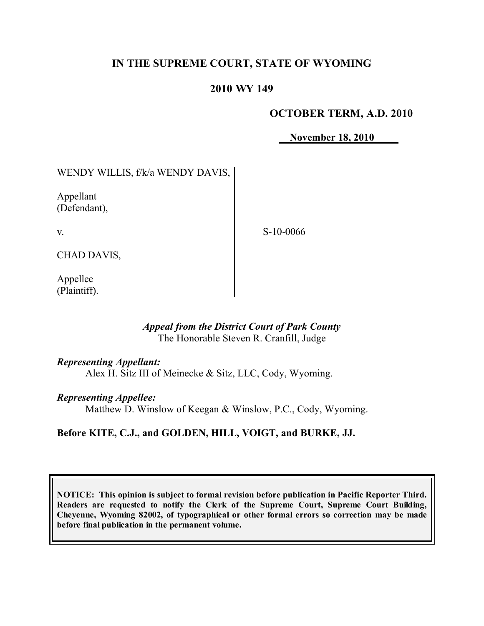# **IN THE SUPREME COURT, STATE OF WYOMING**

### **2010 WY 149**

## **OCTOBER TERM, A.D. 2010**

**November 18, 2010**

# WENDY WILLIS, f/k/a WENDY DAVIS,

Appellant (Defendant),

v.

S-10-0066

CHAD DAVIS,

Appellee (Plaintiff).

### *Appeal from the District Court of Park County* The Honorable Steven R. Cranfill, Judge

### *Representing Appellant:*

Alex H. Sitz III of Meinecke & Sitz, LLC, Cody, Wyoming.

### *Representing Appellee:*

Matthew D. Winslow of Keegan & Winslow, P.C., Cody, Wyoming.

## **Before KITE, C.J., and GOLDEN, HILL, VOIGT, and BURKE, JJ.**

**NOTICE: This opinion is subject to formal revision before publication in Pacific Reporter Third. Readers are requested to notify the Clerk of the Supreme Court, Supreme Court Building, Cheyenne, Wyoming 82002, of typographical or other formal errors so correction may be made before final publication in the permanent volume.**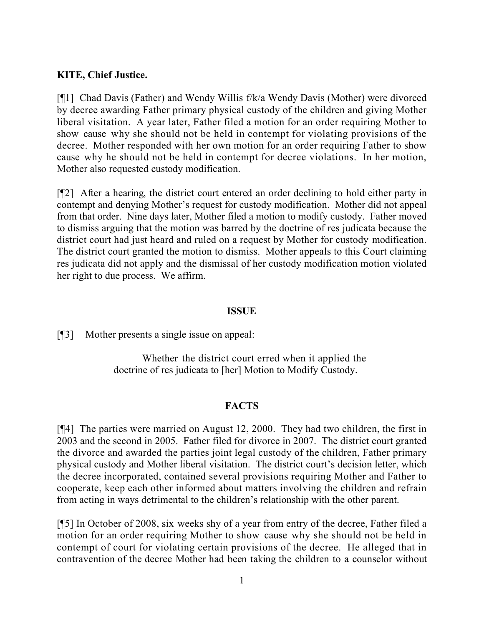### **KITE, Chief Justice.**

[¶1] Chad Davis (Father) and Wendy Willis f/k/a Wendy Davis (Mother) were divorced by decree awarding Father primary physical custody of the children and giving Mother liberal visitation. A year later, Father filed a motion for an order requiring Mother to show cause why she should not be held in contempt for violating provisions of the decree. Mother responded with her own motion for an order requiring Father to show cause why he should not be held in contempt for decree violations. In her motion, Mother also requested custody modification.

[¶2] After a hearing, the district court entered an order declining to hold either party in contempt and denying Mother's request for custody modification. Mother did not appeal from that order. Nine days later, Mother filed a motion to modify custody. Father moved to dismiss arguing that the motion was barred by the doctrine of res judicata because the district court had just heard and ruled on a request by Mother for custody modification. The district court granted the motion to dismiss. Mother appeals to this Court claiming res judicata did not apply and the dismissal of her custody modification motion violated her right to due process. We affirm.

#### **ISSUE**

[¶3] Mother presents a single issue on appeal:

Whether the district court erred when it applied the doctrine of res judicata to [her] Motion to Modify Custody.

## **FACTS**

[¶4] The parties were married on August 12, 2000. They had two children, the first in 2003 and the second in 2005. Father filed for divorce in 2007. The district court granted the divorce and awarded the parties joint legal custody of the children, Father primary physical custody and Mother liberal visitation. The district court's decision letter, which the decree incorporated, contained several provisions requiring Mother and Father to cooperate, keep each other informed about matters involving the children and refrain from acting in ways detrimental to the children's relationship with the other parent.

[¶5] In October of 2008, six weeks shy of a year from entry of the decree, Father filed a motion for an order requiring Mother to show cause why she should not be held in contempt of court for violating certain provisions of the decree. He alleged that in contravention of the decree Mother had been taking the children to a counselor without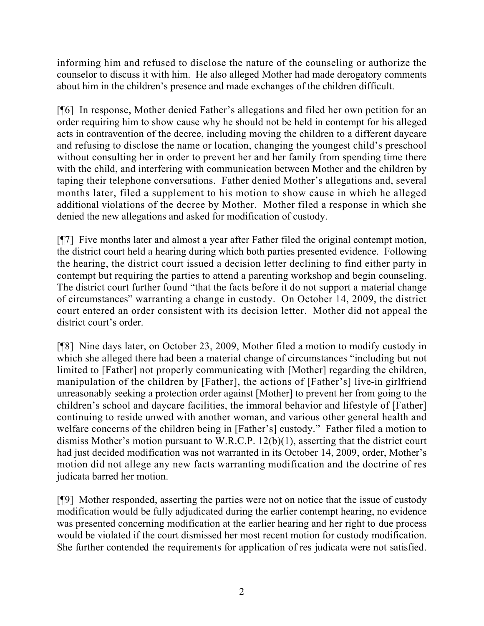informing him and refused to disclose the nature of the counseling or authorize the counselor to discuss it with him. He also alleged Mother had made derogatory comments about him in the children's presence and made exchanges of the children difficult.

[¶6] In response, Mother denied Father's allegations and filed her own petition for an order requiring him to show cause why he should not be held in contempt for his alleged acts in contravention of the decree, including moving the children to a different daycare and refusing to disclose the name or location, changing the youngest child's preschool without consulting her in order to prevent her and her family from spending time there with the child, and interfering with communication between Mother and the children by taping their telephone conversations. Father denied Mother's allegations and, several months later, filed a supplement to his motion to show cause in which he alleged additional violations of the decree by Mother. Mother filed a response in which she denied the new allegations and asked for modification of custody.

[¶7] Five months later and almost a year after Father filed the original contempt motion, the district court held a hearing during which both parties presented evidence. Following the hearing, the district court issued a decision letter declining to find either party in contempt but requiring the parties to attend a parenting workshop and begin counseling. The district court further found "that the facts before it do not support a material change of circumstances" warranting a change in custody. On October 14, 2009, the district court entered an order consistent with its decision letter. Mother did not appeal the district court's order.

[¶8] Nine days later, on October 23, 2009, Mother filed a motion to modify custody in which she alleged there had been a material change of circumstances "including but not limited to [Father] not properly communicating with [Mother] regarding the children, manipulation of the children by [Father], the actions of [Father's] live-in girlfriend unreasonably seeking a protection order against [Mother] to prevent her from going to the children's school and daycare facilities, the immoral behavior and lifestyle of [Father] continuing to reside unwed with another woman, and various other general health and welfare concerns of the children being in [Father's] custody." Father filed a motion to dismiss Mother's motion pursuant to W.R.C.P. 12(b)(1), asserting that the district court had just decided modification was not warranted in its October 14, 2009, order, Mother's motion did not allege any new facts warranting modification and the doctrine of res judicata barred her motion.

[¶9] Mother responded, asserting the parties were not on notice that the issue of custody modification would be fully adjudicated during the earlier contempt hearing, no evidence was presented concerning modification at the earlier hearing and her right to due process would be violated if the court dismissed her most recent motion for custody modification. She further contended the requirements for application of res judicata were not satisfied.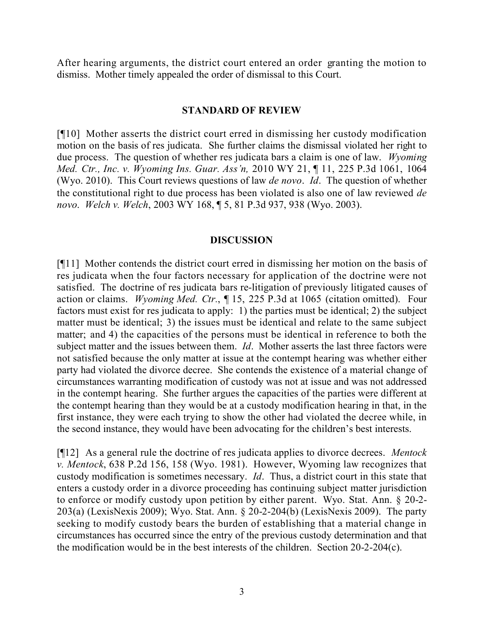After hearing arguments, the district court entered an order granting the motion to dismiss. Mother timely appealed the order of dismissal to this Court.

### **STANDARD OF REVIEW**

[¶10] Mother asserts the district court erred in dismissing her custody modification motion on the basis of res judicata. She further claims the dismissal violated her right to due process. The question of whether res judicata bars a claim is one of law. *Wyoming Med. Ctr., Inc. v. Wyoming Ins. Guar. Ass'n,* 2010 WY 21, ¶ 11, 225 P.3d 1061, 1064 (Wyo. 2010). This Court reviews questions of law *de novo*. *Id*. The question of whether the constitutional right to due process has been violated is also one of law reviewed *de novo*. *Welch v. Welch*, 2003 WY 168, ¶ 5, 81 P.3d 937, 938 (Wyo. 2003).

### **DISCUSSION**

[¶11] Mother contends the district court erred in dismissing her motion on the basis of res judicata when the four factors necessary for application of the doctrine were not satisfied. The doctrine of res judicata bars re-litigation of previously litigated causes of action or claims. *Wyoming Med. Ctr.*, ¶ 15, 225 P.3d at 1065 (citation omitted). Four factors must exist for res judicata to apply: 1) the parties must be identical; 2) the subject matter must be identical; 3) the issues must be identical and relate to the same subject matter; and 4) the capacities of the persons must be identical in reference to both the subject matter and the issues between them. *Id*. Mother asserts the last three factors were not satisfied because the only matter at issue at the contempt hearing was whether either party had violated the divorce decree. She contends the existence of a material change of circumstances warranting modification of custody was not at issue and was not addressed in the contempt hearing. She further argues the capacities of the parties were different at the contempt hearing than they would be at a custody modification hearing in that, in the first instance, they were each trying to show the other had violated the decree while, in the second instance, they would have been advocating for the children's best interests.

[¶12] As a general rule the doctrine of res judicata applies to divorce decrees. *Mentock v. Mentock*, 638 P.2d 156, 158 (Wyo. 1981). However, Wyoming law recognizes that custody modification is sometimes necessary. *Id*. Thus, a district court in this state that enters a custody order in a divorce proceeding has continuing subject matter jurisdiction to enforce or modify custody upon petition by either parent. Wyo. Stat. Ann. § 20-2- 203(a) (LexisNexis 2009); Wyo. Stat. Ann. § 20-2-204(b) (LexisNexis 2009). The party seeking to modify custody bears the burden of establishing that a material change in circumstances has occurred since the entry of the previous custody determination and that the modification would be in the best interests of the children. Section 20-2-204(c).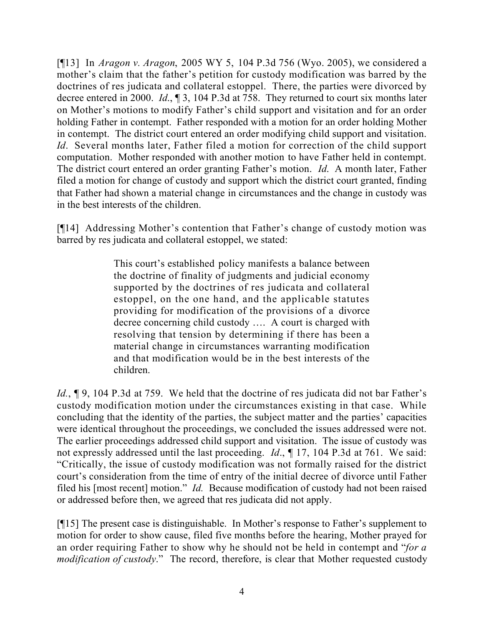[¶13] In *Aragon v. Aragon*, 2005 WY 5, 104 P.3d 756 (Wyo. 2005), we considered a mother's claim that the father's petition for custody modification was barred by the doctrines of res judicata and collateral estoppel. There, the parties were divorced by decree entered in 2000. *Id*., ¶ 3, 104 P.3d at 758. They returned to court six months later on Mother's motions to modify Father's child support and visitation and for an order holding Father in contempt. Father responded with a motion for an order holding Mother in contempt. The district court entered an order modifying child support and visitation. *Id*. Several months later, Father filed a motion for correction of the child support computation. Mother responded with another motion to have Father held in contempt. The district court entered an order granting Father's motion. *Id*. A month later, Father filed a motion for change of custody and support which the district court granted, finding that Father had shown a material change in circumstances and the change in custody was in the best interests of the children.

[¶14] Addressing Mother's contention that Father's change of custody motion was barred by res judicata and collateral estoppel, we stated:

> This court's established policy manifests a balance between the doctrine of finality of judgments and judicial economy supported by the doctrines of res judicata and collateral estoppel, on the one hand, and the applicable statutes providing for modification of the provisions of a divorce decree concerning child custody …. A court is charged with resolving that tension by determining if there has been a material change in circumstances warranting modification and that modification would be in the best interests of the children.

*Id.*, ¶ 9, 104 P.3d at 759. We held that the doctrine of res judicata did not bar Father's custody modification motion under the circumstances existing in that case. While concluding that the identity of the parties, the subject matter and the parties' capacities were identical throughout the proceedings, we concluded the issues addressed were not. The earlier proceedings addressed child support and visitation. The issue of custody was not expressly addressed until the last proceeding. *Id*., ¶ 17, 104 P.3d at 761. We said: "Critically, the issue of custody modification was not formally raised for the district court's consideration from the time of entry of the initial decree of divorce until Father filed his [most recent] motion." *Id.* Because modification of custody had not been raised or addressed before then, we agreed that res judicata did not apply.

[¶15] The present case is distinguishable. In Mother's response to Father's supplement to motion for order to show cause, filed five months before the hearing, Mother prayed for an order requiring Father to show why he should not be held in contempt and "*for a modification of custody*." The record, therefore, is clear that Mother requested custody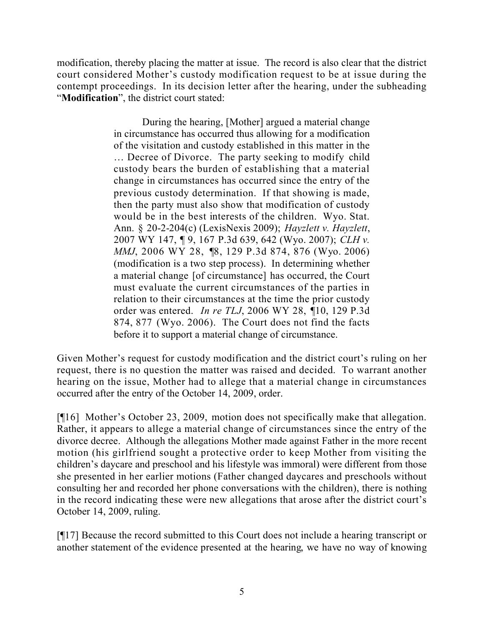modification, thereby placing the matter at issue. The record is also clear that the district court considered Mother's custody modification request to be at issue during the contempt proceedings. In its decision letter after the hearing, under the subheading "**Modification**", the district court stated:

> During the hearing, [Mother] argued a material change in circumstance has occurred thus allowing for a modification of the visitation and custody established in this matter in the … Decree of Divorce. The party seeking to modify child custody bears the burden of establishing that a material change in circumstances has occurred since the entry of the previous custody determination. If that showing is made, then the party must also show that modification of custody would be in the best interests of the children. Wyo. Stat. Ann. § 20-2-204(c) (LexisNexis 2009); *Hayzlett v. Hayzlett*, 2007 WY 147, ¶ 9, 167 P.3d 639, 642 (Wyo. 2007); *CLH v. MMJ*, 2006 WY 28, ¶8, 129 P.3d 874, 876 (Wyo. 2006) (modification is a two step process). In determining whether a material change [of circumstance] has occurred, the Court must evaluate the current circumstances of the parties in relation to their circumstances at the time the prior custody order was entered. *In re TLJ*, 2006 WY 28, ¶10, 129 P.3d 874, 877 (Wyo. 2006). The Court does not find the facts before it to support a material change of circumstance.

Given Mother's request for custody modification and the district court's ruling on her request, there is no question the matter was raised and decided. To warrant another hearing on the issue, Mother had to allege that a material change in circumstances occurred after the entry of the October 14, 2009, order.

[¶16] Mother's October 23, 2009, motion does not specifically make that allegation. Rather, it appears to allege a material change of circumstances since the entry of the divorce decree. Although the allegations Mother made against Father in the more recent motion (his girlfriend sought a protective order to keep Mother from visiting the children's daycare and preschool and his lifestyle was immoral) were different from those she presented in her earlier motions (Father changed daycares and preschools without consulting her and recorded her phone conversations with the children), there is nothing in the record indicating these were new allegations that arose after the district court's October 14, 2009, ruling.

[¶17] Because the record submitted to this Court does not include a hearing transcript or another statement of the evidence presented at the hearing, we have no way of knowing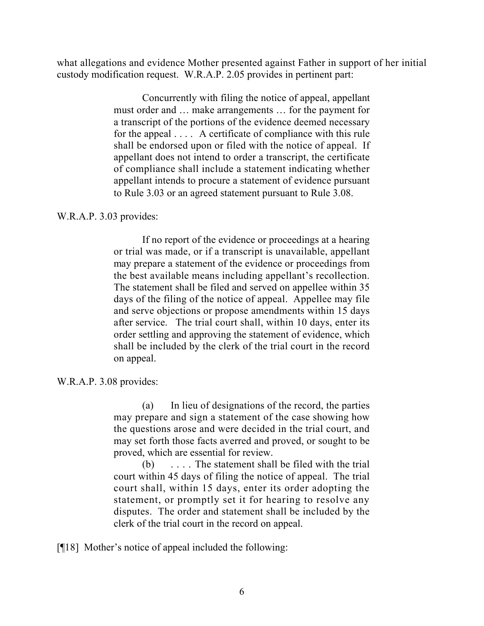what allegations and evidence Mother presented against Father in support of her initial custody modification request. W.R.A.P. 2.05 provides in pertinent part:

> Concurrently with filing the notice of appeal, appellant must order and … make arrangements … for the payment for a transcript of the portions of the evidence deemed necessary for the appeal . . . . A certificate of compliance with this rule shall be endorsed upon or filed with the notice of appeal. If appellant does not intend to order a transcript, the certificate of compliance shall include a statement indicating whether appellant intends to procure a statement of evidence pursuant to Rule 3.03 or an agreed statement pursuant to Rule 3.08.

## W.R.A.P. 3.03 provides:

If no report of the evidence or proceedings at a hearing or trial was made, or if a transcript is unavailable, appellant may prepare a statement of the evidence or proceedings from the best available means including appellant's recollection. The statement shall be filed and served on appellee within 35 days of the filing of the notice of appeal. Appellee may file and serve objections or propose amendments within 15 days after service. The trial court shall, within 10 days, enter its order settling and approving the statement of evidence, which shall be included by the clerk of the trial court in the record on appeal.

## W.R.A.P. 3.08 provides:

(a) In lieu of designations of the record, the parties may prepare and sign a statement of the case showing how the questions arose and were decided in the trial court, and may set forth those facts averred and proved, or sought to be proved, which are essential for review.

(b) . . . . The statement shall be filed with the trial court within 45 days of filing the notice of appeal. The trial court shall, within 15 days, enter its order adopting the statement, or promptly set it for hearing to resolve any disputes. The order and statement shall be included by the clerk of the trial court in the record on appeal.

[¶18] Mother's notice of appeal included the following: